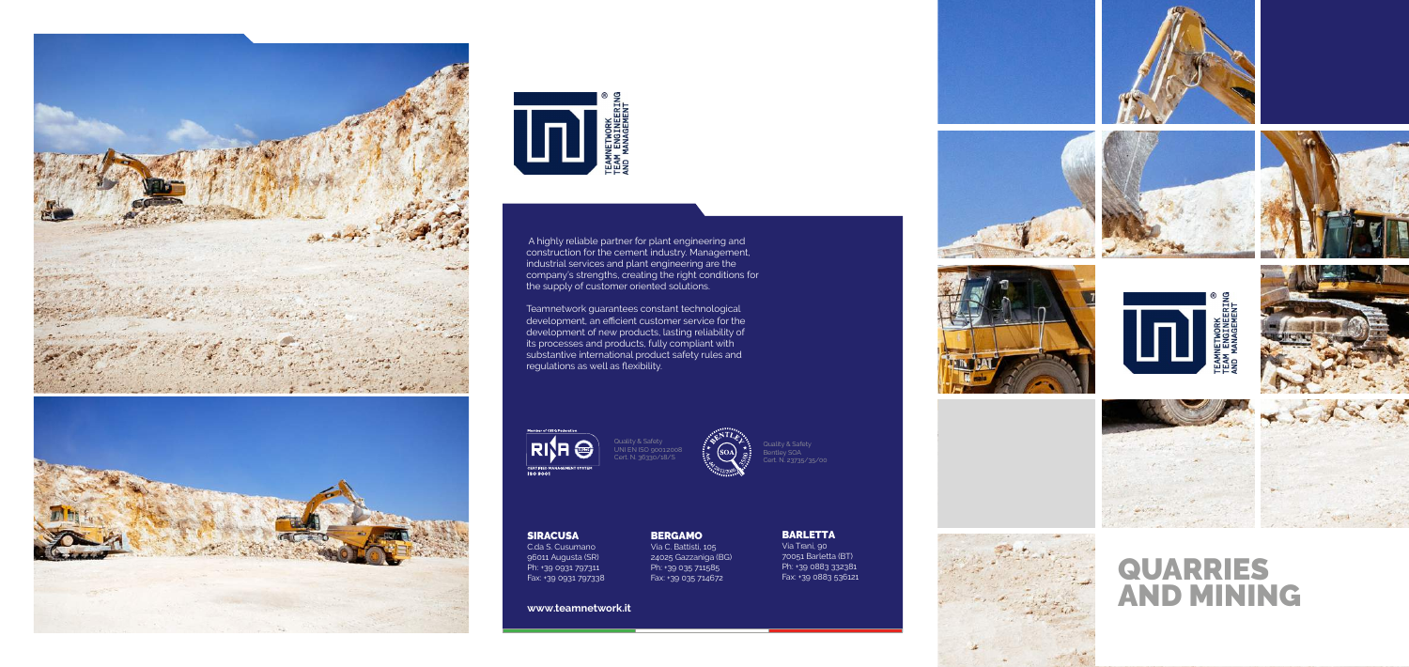**www.teamnetwork.it**



















#### BERGAMO

Via C. Battisti, 105 24025 Gazzaniga (BG) Ph: +39 035 711585 Fax: +39 035 714672

SIRACUSA

C.da S. Cusumano 96011 Augusta (SR) Ph: +39 0931 797311 Fax: +39 0931 797338 BARLETTA Via Trani, 90 70051 Barletta (BT) Ph: +39 0883 332381 Fax: +39 0883 536121









 A highly reliable partner for plant engineering and construction for the cement industry. Management, industrial services and plant engineering are the company's strengths, creating the right conditions for the supply of customer oriented solutions.

Teamnetwork guarantees constant technological development, an efficient customer service for the development of new products, lasting reliability of its processes and products, fully compliant with substantive international product safety rules and regulations as well as flexibility.

**RISH** 

# QUARRIES AND MINING



Quality & Safety UNI EN ISO 9001:2008 Cert. N. 36330/18/S

Quality & Safety Bentley SOA Cert. N. 23735/35/00